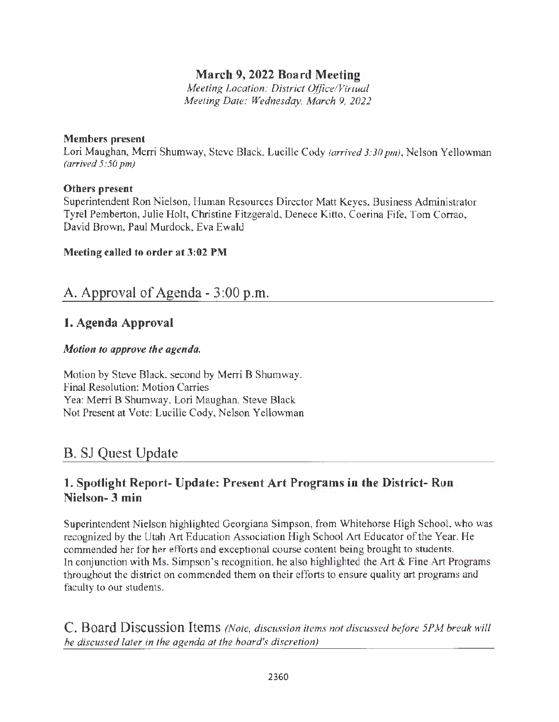### **March 9, 2022 Board Meeting**

*Meeting Location: District Office/ Virtual Meeting Date: Wednesday, March 9, 2022* 

#### **Members present**

Lori Maughan, Merri Shumway, Steve Black, Lucille Cody *(arrived 3:30 pm),* Nelson Yellowman *(arrived 5:50 pm)* 

#### **Others present**

Superintendent Ron Nielson, Human Resources Director Matt Keyes, Business Administrator Tyrel Pemberton, Julie Holt, Christine Fitzgerald, Denece Kitto, Coerina Fife, Tom Corrao, David Brown, Paul Murdock, Eva Ewald

#### **Meeting called to order at 3:02 PM**

## A. Approval of Agenda - 3 :00 p.m.

#### **1. Agenda Approval**

#### *Motion to approve the agenda.*

Motion by Steve Black, second by Merri B Shumway. Final Resolution: Motion Carries Yea: Merri B Shumway, Lori Maughan, Steve Black Not Present at Vote: Lucille Cody, Nelson Yellowman

# B. SJ Quest Update

#### **l. Spotlight Report- Update: Present Art Programs in the District- Ron Nielson- 3 min**

Superintendent Nielson highlighted Georgiana Simpson, from Whitehorse High School, who was recognized by the Utah Art Education Association High School Art Educator of the Year. He commended her for her efforts and exceptional course content being brought to students. In conjunction with Ms. Simpson's recognition, he also highlighted the Art & Fine Art Programs throughout the district on commended them on their efforts to ensure quality art programs and faculty to our students.

C. Board Discussion Items *(Note, discussion items not discussed before 5PM break will be discussed later in the agenda at the board's discretion)*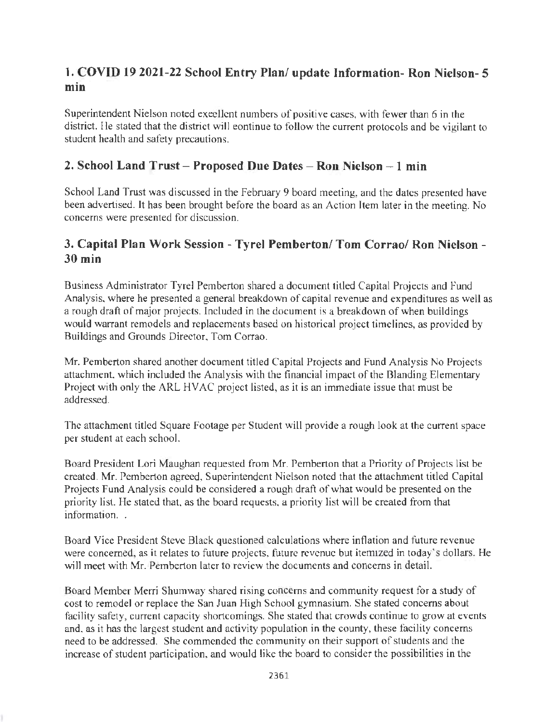### **1. COVID 19 2021-22 School Entry Plan/ update Information- Ron Nielson- 5**  min.

Superintendent Nielson noted excellent numbers of positive cases, with fewer than 6 in the district. He stated that the district will eontinue to follow the current protocols and be vigilant to student health and safety precautions.

#### **2. School Land Trust - Proposed Due Dates - Ron Nielson - 1 min**

School Land Trust was discussed in the February 9 board meeting, and the dates presented have been advertised. It has been brought before the board as an Action Item later in the meeting. No concerns were presented for discussion.

#### **3. Capital Plan Work Session - Tyrel Pemberton/ Tom Corrao/ Ron Nielson** - **30 min**

Business Administrator Tyrel Pemberton shared a document titled Capital Projects and Fund Analysis, where he presented a general breakdown of capital revenue and expenditures as well as a rough draft of major projects. Included in the document is a breakdown of when buildings would warrant remodels and replacements based on historical project timelines, as provided by Buildings and Grounds Director, Tom Corrao.

Mr. Pemberton shared another document titled Capital Projects and Fund Analysis No Projects attachment, which included the Analysis with the financial impact of the Blanding Elementary Project with only the ARL HVAC project listed, as it is an immediate issue that must be addressed.

The attachment titled Square Footage per Student will provide a rough look at the current space per student at each school.

Board President Lori Maughan requested from Mr. Pemberton that a Priority of Projects list be created. Mr. Pemberton agreed, Superintendent Nielson noted that the attachment titled Capital Projects Fund Analysis could be considered a rough draft of what would be presented on the priority list. He stated that, as the board requests, a priority list will be created from that information. .

Board Vice President Steve Black questioned calculations where inflation and future revenue were concerned, as it relates to future projects, future revenue but itemized in today's dollars. He will meet with Mr. Pemberton later to review the documents and concerns in detail.

Board Member Merri Shumway shared rising concerns and community request for a study of cost to remodel or replace the San Juan High School gymnasium. She stated concerns about facility safety, current capacity shortcomings. She stated that crowds continue to grow at events and, as it has the largest student and activity population in the county, these facility concerns need to be addressed. She commended the community on their support of students and the increase of student participation, and would like the board to consider the possibilities in the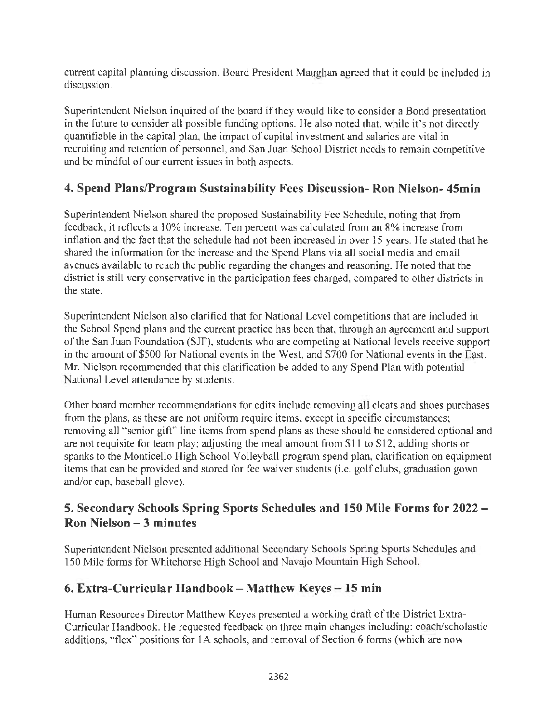current capital planning discussion. Board President Maughan agreed that it could be included in discussion.

Superintendent Nielson inquired of the board if they would like to consider a Bond presentation in the future to consider all possible funding options. He also noted that, while it's not directly quantifiable in the capital plan, the impact of capital investment and salaries are vital in recruiting and retention of personnel, and San Juan School District needs to remain competitive and be mindful of our current issues in both aspects.

### **4. Spend Plans/Program Sustainability Fees Discussion- Ron Nielson- 45min**

Superintendent Nielson shared the proposed Sustainability Fee Schedule, noting that from feedback, it reflects a 10% increase. Ten percent was calculated from an 8% increase from inflation and the fact that the schedule had not been increased in over 15 years. He stated that he shared the information for the increase and the Spend Plans via all social media and email avenues available to reach the public regarding the changes and reasoning. He noted that the district is still very conservative in the participation fees charged, compared to other districts in the state.

Superintendent Nielson also clarified that for National Level competitions that are included in the School Spend plans and the current practice has been that, through an agreement and support of the San Juan Foundation (SJF), students who are competing at National levels receive support in the amount of \$500 for National events in the West, and \$700 for National events in the East. Mr. Nielson recommended that this clarification be added to any Spend Plan with potential National Level attendance by students.

Other board member recommendations for edits include removing all cleats and shoes purchases from the plans, as these are not uniform require items, except in specific circumstances; removing all "senior gift" line items from spend plans as these should be considered optional and are not requisite for team play; adjusting the meal amount from \$11 to \$12, adding shorts or spanks to the Monticello High School Volleyball program spend plan, clarification on equipment items that can be provided and stored for fee waiver students (i.e. golf clubs, graduation gown and/or cap, baseball glove).

### **5. Secondary Schools Spring Sports Schedules and 150 Mile Forms for 2022** - **Ron Nielson - 3 minutes**

Superintendent Nielson presented additional Secondary Schools Spring Sports Schedules and 150 Mile forms for Whitehorse High School and Navajo Mountain High School.

### **6. Extra-Curricular Handbook - Matthew Keyes - 15 min**

Human Resources Director Matthew Keyes presented a working draft of the District Extra-Curricular Handbook. He requested feedback on three main changes including: coach/scholastic additions, "flex" positions for 1A schools, and removal of Section 6 forms (which are now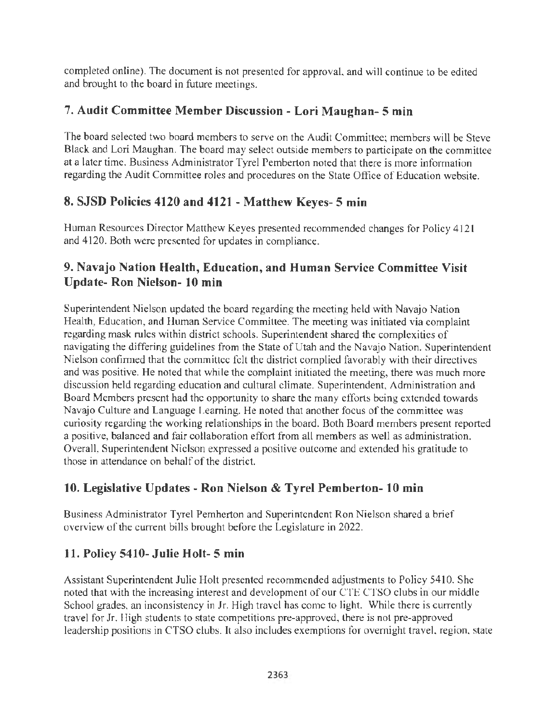completed online). The document is not presented for approval, and will continue to be edited and brought to the board in future meetings.

### **7. Audit Committee Member Discussion - Lori Maughan- 5 min**

The board selected two board members to serve on the Audit Committee; members will be Steve Black and Lori Maughan. The board may select outside members to participate on the committee at a later time. Business Administrator Tyrel Pemberton noted that there is more information regarding the Audit Committee roles and procedures on the State Office of Education website.

## **8. SJSD Policies 4120 and 4121 - Matthew Keyes- 5 min**

Human Resources Director Matthew Keyes presented recommended changes for Policy 4121 and 4120. Both were presented for updates in compliance.

### **9. Navajo Nation Health, Education, and Human Service Committee Visit Update- Ron Nielson- 10 min**

Superintendent Nielson updated the board regarding the meeting held with Navajo Nation Health, Education, and Human Service Committee. The meeting was injtiated via complaint regarding mask rules within district schools. Superintendent shared the complexities of navigating the differing guidelines from the State of Utah and the Navajo Nation. Superintendent Nielson confirmed that the committee felt the district complied favorably with their directives and was positive. He noted that while the complaint initiated the meeting, there was much more discussion held regarding education and cultural climate. Superintendent, Administration and Board Members present had the opportunity to share the many efforts being extended towards Navajo Culture and Language Leaming. He noted that another focus of the committee was curiosity regarding the working relationships in the board. Both Board members present reported a positive, balanced and fair collaboration effort from all members as well as administration. Overall, Superintendent Nielson expressed a positive outcome and extended his gratitude to those in attendance on behalf of the district.

# **10. Legislative Updates - Ron Nielson & Tyrel Pemberton- 10 min**

Business Administrator Tyre! Pemberton and Superintendent Ron Nielson shared a brief overview of the current bills brought before the Legislature in 2022.

# **11. Policy 5410- Julie Holt- 5 min**

Assistant Superintendent Julie Holt presented recommended adjustments to Policy 5410. She noted that with the increasing interest and development of our CTE CTSO clubs in our middle School grades, an inconsistency in Jr. High travel has come to light. While there is currently travel for Jr. High students to state competitions pre-approved, there is not pre-approved leadership positions in CTSO clubs. It also includes exemptions for overnight travel, region, state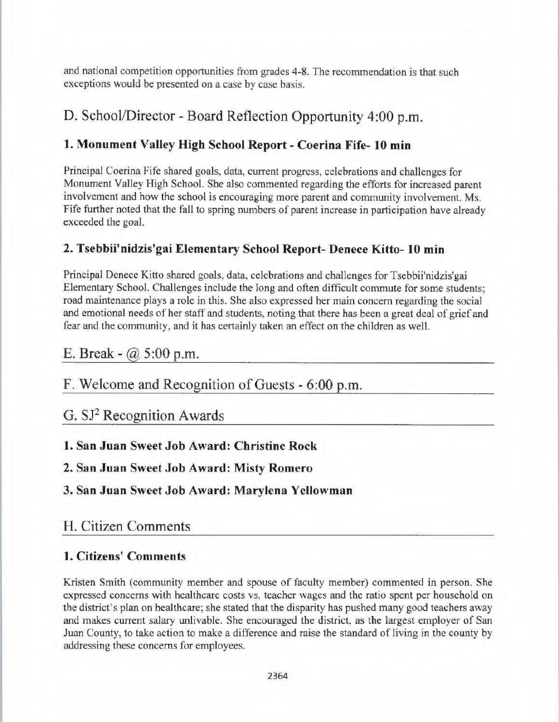and national competition opportunities from grades 4-8. The recommendation is that such exceptions would be presented on a case by case basis.

# D. School/Director - Board Reflection Opportunity 4:00 p.m.

## **1. Monument Valley High School Report** - **Coerina Fife- 10 min**

Principal Coerina Fife shared goals, data, current progress, celebrations and challenges for Monument Valley High School. She also commented regarding the efforts for increased parent involvement and how the school is encouraging more parent and community involvement. Ms. Fife further noted that the fall to spring numbers of parent increase in participation have already exceeded the goal.

### **2. Tsebbii'nidzis'gai Elementary School Report- Denece Kitto- 10 min**

Principal Denece Kitto shared goals, data, celebrations and challenges for Tsebbii'nidzis'gai Elementary School. Challenges include the long and often difficult commute for some students; road maintenance plays a role in this. She also expressed her main concern regarding the social and emotional needs of her staff and students, noting that there has been a great deal of grief and fear and the community, and it has certainly taken an effect on the children as well.

# E. Break -  $@$  5:00 p.m.

# F. Welcome and Recognition of Guests - 6:00 p.m.

# G. SJ2 Recognition Awards

### **1. San Juan Sweet Job Award: Christine Rock**

### **2. San Juan Sweet Job Award: Misty Romero**

**3. San Juan Sweet Job Award: Marylena Yellowman** 

# H. Citizen Comments

### **1. Citizens' Comments**

Kristen Smith (community member and spouse of faculty member) commented in person. She expressed concerns with healthcare costs vs. teacher wages and the ratio spent per household on the district's plan on healthcare; she stated that the disparity has pushed many good teachers away and makes current salary unlivable. She encouraged the district, as the largest employer of San Juan County, to take action to make a difference and raise the standard of living in the county by addressing these concerns for employees.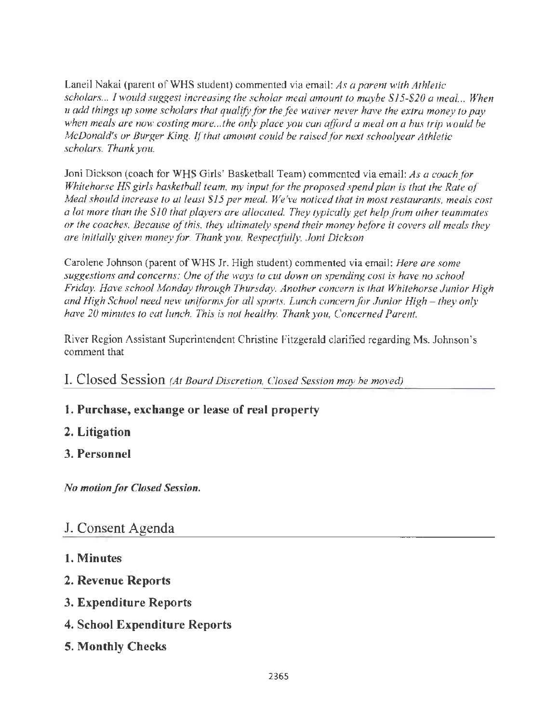Laneil Nakai (parent of WHS student) commented via email: *As a parent with Athletic scholars ... I would suggest increasing the scholar meal amount to maybe \$15-\$20 a meal. .. When u add things up some scholars that qualify for the fee waiver never have the extra money to pay when meals are now costing more ... the only place you can afford a meal on a bus trip would be McDonald's or Burger King.* If *that amount could be raisedfor next schoolyear Athletic scholars. Thank you.* 

Joni Dickson (coach for WHS Girls' Basketball Team) commented via email: *As a coach/or Whitehorse HS girls basketball team, my input for the proposed spend plan is that the Rate of Meal should increase to at least \$15 per meal. We've noticed that in most restaurants, meals cost a lot more than the \$10 that players are allocated. They typically get help from other teammates or the coaches. Because of this, they ultimately spend their money before it covers all meals they are initially given money for. Thank you. Respectfully, Joni Dickson* 

Carolene Johnson (parent of WHS Jr. High student) commented via email: *Here are some suggestions and concerns: One of the ways to cut down on spending cost is have no school Friday. Have school Monday through Thursday. Another concern is that Whitehorse Junior High and High School need new uniforms for all sports. Lunch concern for Junior High – they only have 20 minutes to eat lunch. This is not healthy. Thank you, Concerned Parent.* 

River Region Assistant Superintendent Christine Fitzgerald clarified regarding Ms. Johnson's comment that

I. Closed Session *(At Board Discretion, Closed Session may be moved)* 

# **1. Purchase, exchange or lease of real property**

#### **2. Litigation**

### **3. Personnel**

*No motion for Closed Session.* 

# **J.** Consent Agenda

#### **1. Minutes**

- **2. Revenue Reports**
- **3. Expenditure Reports**
- **4. School Expenditure Reports**
- **5. Monthly Checks**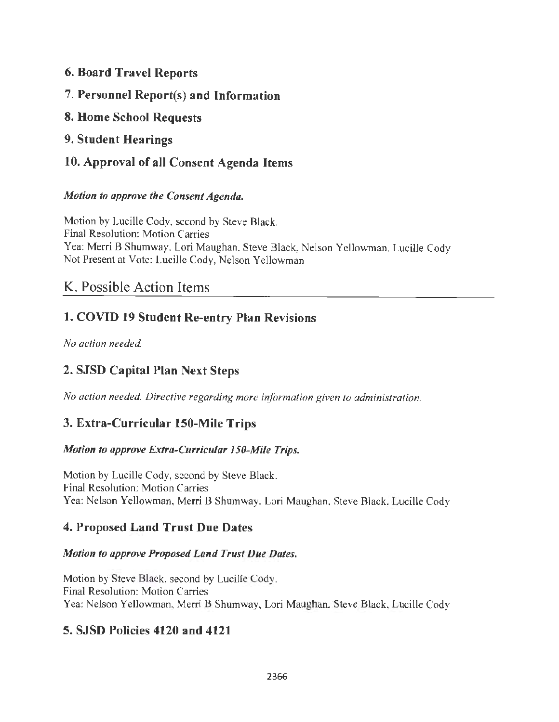#### **6. Board Travel Reports**

- 7. **Personnel Report(s) and Information**
- **8. Home School Requests**
- **9. Student Hearings**
- **10. Approval of all Consent Agenda Items**

#### *Motion to approve the Consent Agenda.*

Motion by Lucille Cody, second by Steve Black. Final Resolution: Motion Carries Yea: Merri B Shumway, Lori Maughan, Steve Black, Nelson Yellowman, Lucille Cody Not Present at Vote: Lucille Cody, Nelson Yellowman

# K. Possible Action Items

# **1. COVID 19 Student Re-entry Plan Revisions**

*No action needed.* 

# **2. SJSD Capital Plan Next Steps**

*No action needed. Directive regarding more information given to administration.* 

### **3. Extra-Curricular 150-Mile Trips**

#### *Motion to approve Extra-Curricular 150-Mile Trips.*

Motion by Lucille Cody, second by Steve Black. Final Resolution: Motion Carries Yea: Nelson Yellowman, Merri B Shumway, Lori Maughan, Steve Black, Lucille Cody

#### **4. Proposed Land Trust Due Dates**

#### *Motion to approve Proposed Land Trust Due Dates.*

Motion by Steve Black, second by Lucille Cody. Final Resolution: Motion Carries Yea: Nelson Yellowman, Merri B Shumway, Lori Maughan, Steve Black, Lucille Cody

### **5. SJSD Policies 4120 and 4121**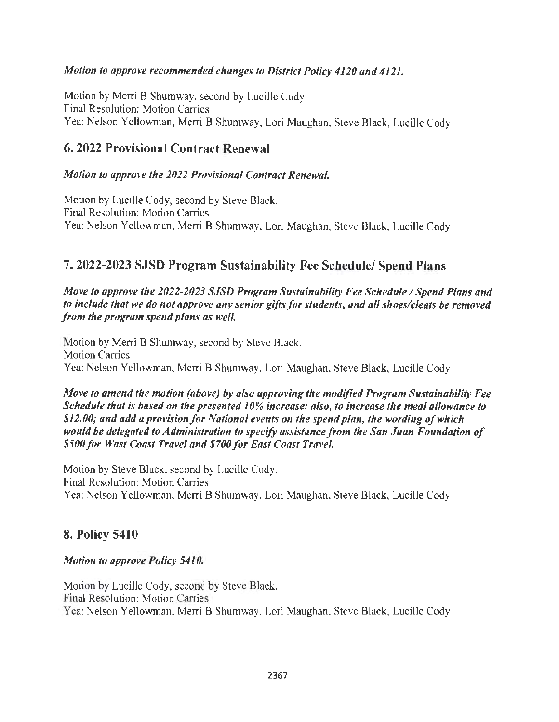#### *Motion to approve recommended changes to District Policy 4120 and 4121.*

Motion by Merri B Shumway, second by Lucille Cody. Final Resolution: Motion Carries Yea: Nelson Yellowman, Merri B Shumway, Lori Maughan, Steve Black, Lucille Cody

#### **6. 2022 Provisional Contract Renewal**

#### *Motion to approve the 2022 Provisional Contract Renewal.*

Motion by Lucille Cody, second by Steve Black. Final Resolution: Motion Carries Yea: Nelson Yellowman, Merri B Shumway, Lori Maughan, Steve Black, Lucille Cody

#### **7. 2022-2023 SJSD Program Sustainability Fee Schedule/ Spend Plans**

*Move to approve the 2022-2023 SJSD Program Sustainability Fee Schedule / Spend Plans and to include that we do not approve any senior gifts for students, and all shoes/cleats be removed from the program spend plans as well.* 

Motion by Merri B Shumway, second by Steve Black. Motion Carries Yea: Nelson Yellowman, Merri B Shumway, Lori Maughan, Steve Black, Lucille Cody

*Move to amend the motion (above) by also approving the modified Program Sustainability Fee Schedule that is based on the presented 10% increase; also, to increase the meal allowance to \$12.00; and add a provision for National events on the spend plan, the wording ofwhicli would be delegated to Administration to specify assistance from the San Juan Foundation of \$500 for Wast Coast Travel and \$700 for East Coast Travel.* 

Motion by Steve Black, second by Lucille Cody. Final Resolution: Motion Carries Yea: Nelson Yellowman, Merri B Shumway, Lori Maughan, Steve Black, Lucille Cody

#### **8. Policy 5410**

*Motion to approve Policy 5410.* 

Motion by Lucille Cody, second by Steve Black. Final Resolution: Motion Carries Yea: Nelson Yellowman, Merri B Shumway, Lori Maughan, Steve Black, Lucille Cody